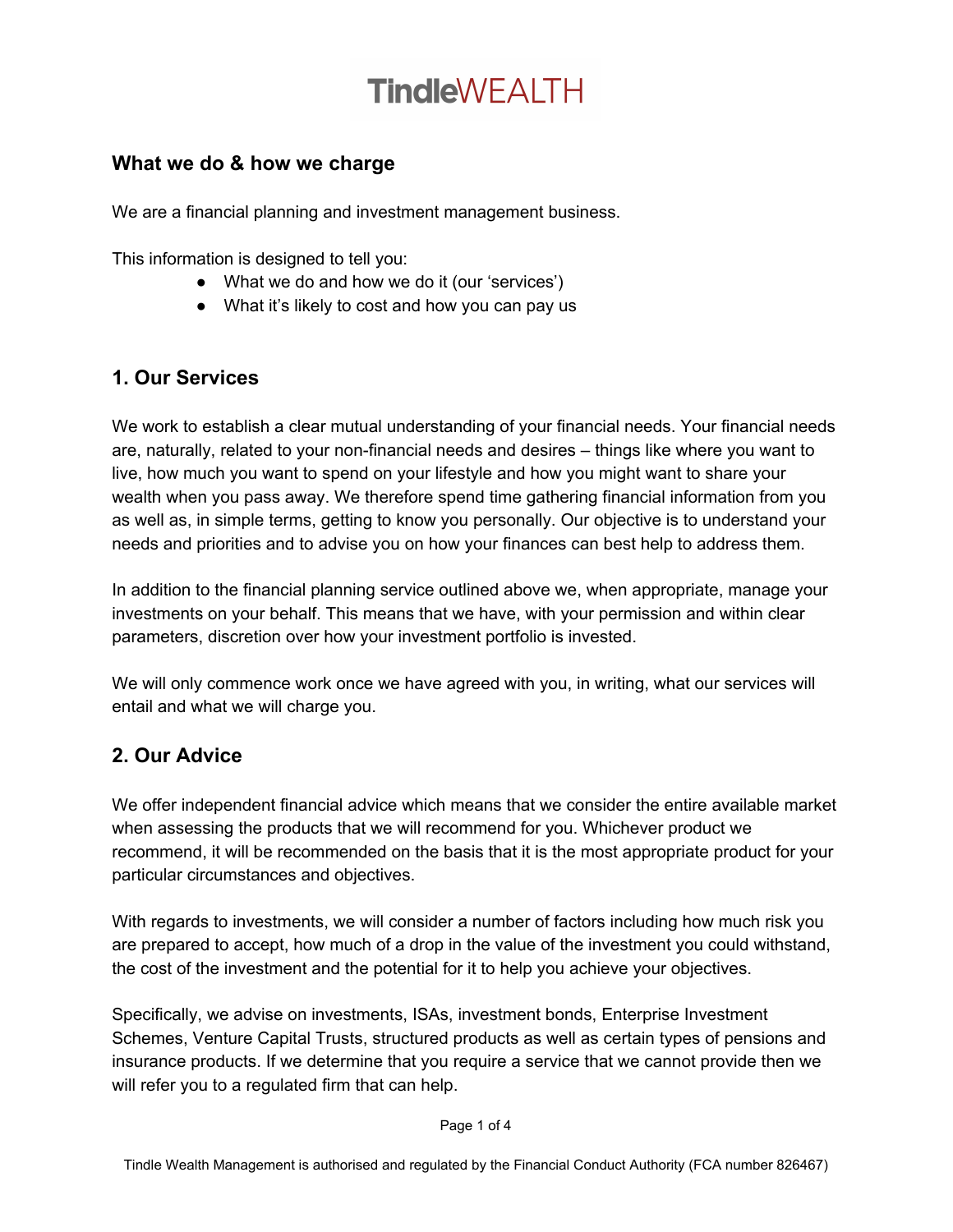## **TindleWFAITH**

#### **What we do & how we charge**

We are a financial planning and investment management business.

This information is designed to tell you:

- What we do and how we do it (our 'services')
- What it's likely to cost and how you can pay us

### **1. Our Services**

We work to establish a clear mutual understanding of your financial needs. Your financial needs are, naturally, related to your non-financial needs and desires – things like where you want to live, how much you want to spend on your lifestyle and how you might want to share your wealth when you pass away. We therefore spend time gathering financial information from you as well as, in simple terms, getting to know you personally. Our objective is to understand your needs and priorities and to advise you on how your finances can best help to address them.

In addition to the financial planning service outlined above we, when appropriate, manage your investments on your behalf. This means that we have, with your permission and within clear parameters, discretion over how your investment portfolio is invested.

We will only commence work once we have agreed with you, in writing, what our services will entail and what we will charge you.

### **2. Our Advice**

We offer independent financial advice which means that we consider the entire available market when assessing the products that we will recommend for you. Whichever product we recommend, it will be recommended on the basis that it is the most appropriate product for your particular circumstances and objectives.

With regards to investments, we will consider a number of factors including how much risk you are prepared to accept, how much of a drop in the value of the investment you could withstand, the cost of the investment and the potential for it to help you achieve your objectives.

Specifically, we advise on investments, ISAs, investment bonds, Enterprise Investment Schemes, Venture Capital Trusts, structured products as well as certain types of pensions and insurance products. If we determine that you require a service that we cannot provide then we will refer you to a regulated firm that can help.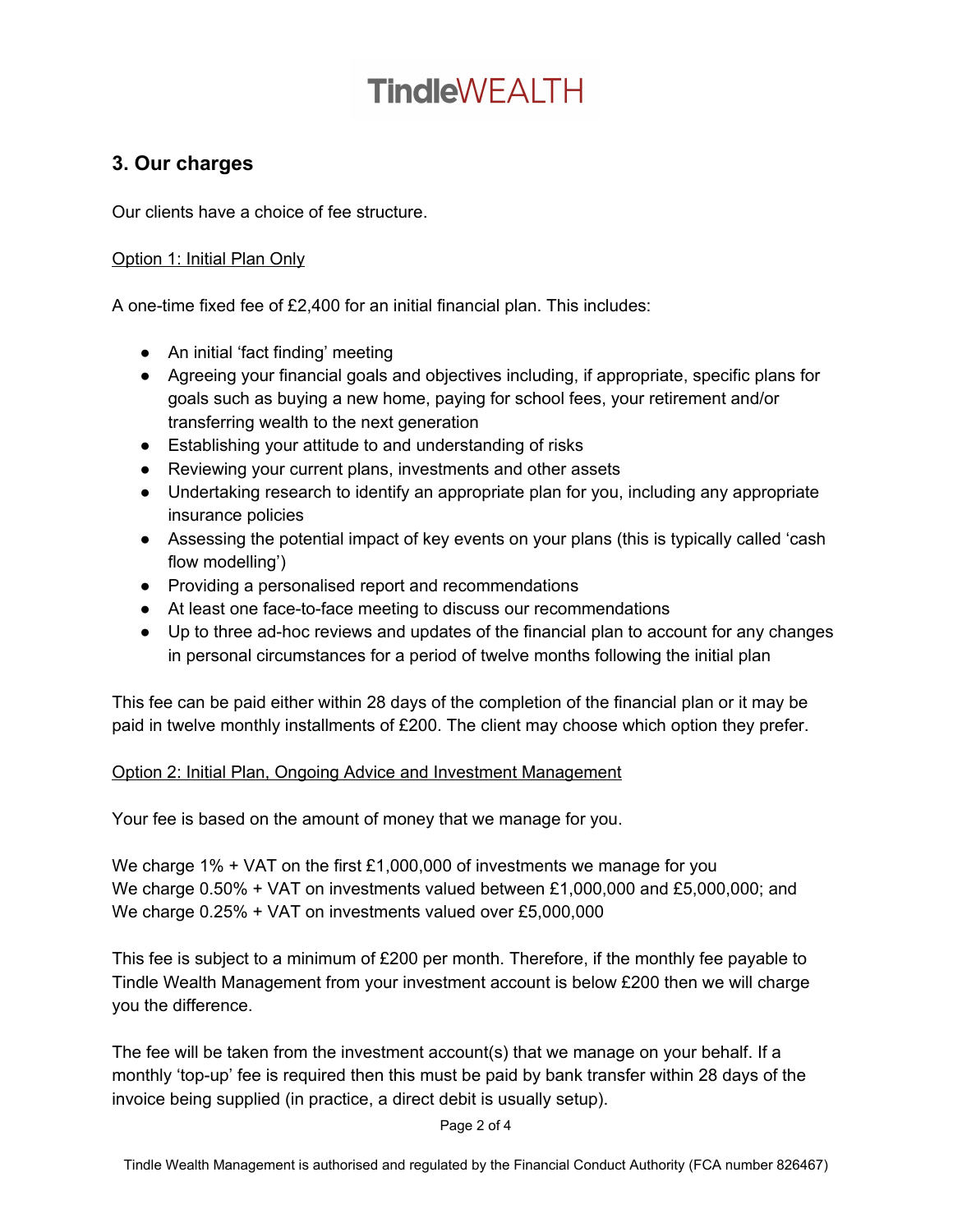# **TindleWEALTH**

#### **3. Our charges**

Our clients have a choice of fee structure.

#### Option 1: Initial Plan Only

A one-time fixed fee of £2,400 for an initial financial plan. This includes:

- An initial 'fact finding' meeting
- Agreeing your financial goals and objectives including, if appropriate, specific plans for goals such as buying a new home, paying for school fees, your retirement and/or transferring wealth to the next generation
- Establishing your attitude to and understanding of risks
- Reviewing your current plans, investments and other assets
- Undertaking research to identify an appropriate plan for you, including any appropriate insurance policies
- Assessing the potential impact of key events on your plans (this is typically called 'cash flow modelling')
- Providing a personalised report and recommendations
- At least one face-to-face meeting to discuss our recommendations
- Up to three ad-hoc reviews and updates of the financial plan to account for any changes in personal circumstances for a period of twelve months following the initial plan

This fee can be paid either within 28 days of the completion of the financial plan or it may be paid in twelve monthly installments of £200. The client may choose which option they prefer.

#### Option 2: Initial Plan, Ongoing Advice and Investment Management

Your fee is based on the amount of money that we manage for you.

We charge 1% + VAT on the first £1,000,000 of investments we manage for you We charge 0.50% + VAT on investments valued between £1,000,000 and £5,000,000; and We charge 0.25% + VAT on investments valued over £5,000,000

This fee is subject to a minimum of £200 per month. Therefore, if the monthly fee payable to Tindle Wealth Management from your investment account is below £200 then we will charge you the difference.

The fee will be taken from the investment account(s) that we manage on your behalf. If a monthly 'top-up' fee is required then this must be paid by bank transfer within 28 days of the invoice being supplied (in practice, a direct debit is usually setup).

Page 2 of 4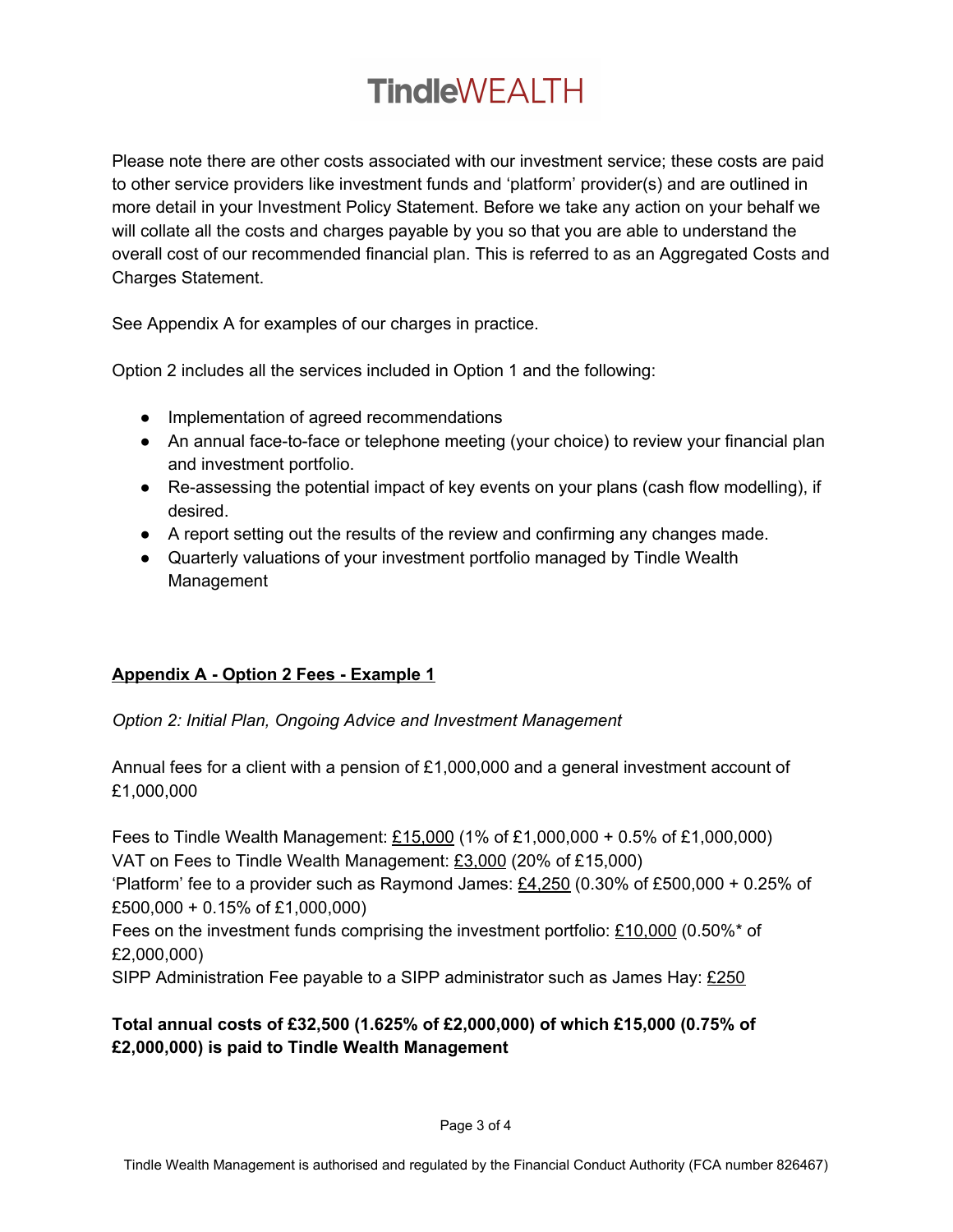# **TindleWEALTH**

Please note there are other costs associated with our investment service; these costs are paid to other service providers like investment funds and 'platform' provider(s) and are outlined in more detail in your Investment Policy Statement. Before we take any action on your behalf we will collate all the costs and charges payable by you so that you are able to understand the overall cost of our recommended financial plan. This is referred to as an Aggregated Costs and Charges Statement.

See Appendix A for examples of our charges in practice.

Option 2 includes all the services included in Option 1 and the following:

- Implementation of agreed recommendations
- An annual face-to-face or telephone meeting (your choice) to review your financial plan and investment portfolio.
- Re-assessing the potential impact of key events on your plans (cash flow modelling), if desired.
- A report setting out the results of the review and confirming any changes made.
- Quarterly valuations of your investment portfolio managed by Tindle Wealth Management

#### **Appendix A - Option 2 Fees - Example 1**

*Option 2: Initial Plan, Ongoing Advice and Investment Management*

Annual fees for a client with a pension of £1,000,000 and a general investment account of £1,000,000

Fees to Tindle Wealth Management: £15,000 (1% of £1,000,000 + 0.5% of £1,000,000) VAT on Fees to Tindle Wealth Management: £3,000 (20% of £15,000) 'Platform' fee to a provider such as Raymond James:  $£4,250$  (0.30% of £500,000 + 0.25% of £500,000 + 0.15% of £1,000,000)

Fees on the investment funds comprising the investment portfolio:  $£10,000$  (0.50%\* of £2,000,000)

SIPP Administration Fee payable to a SIPP administrator such as James Hay: £250

#### **Total annual costs of £32,500 (1.625% of £2,000,000) of which £15,000 (0.75% of £2,000,000) is paid to Tindle Wealth Management**

Page 3 of 4